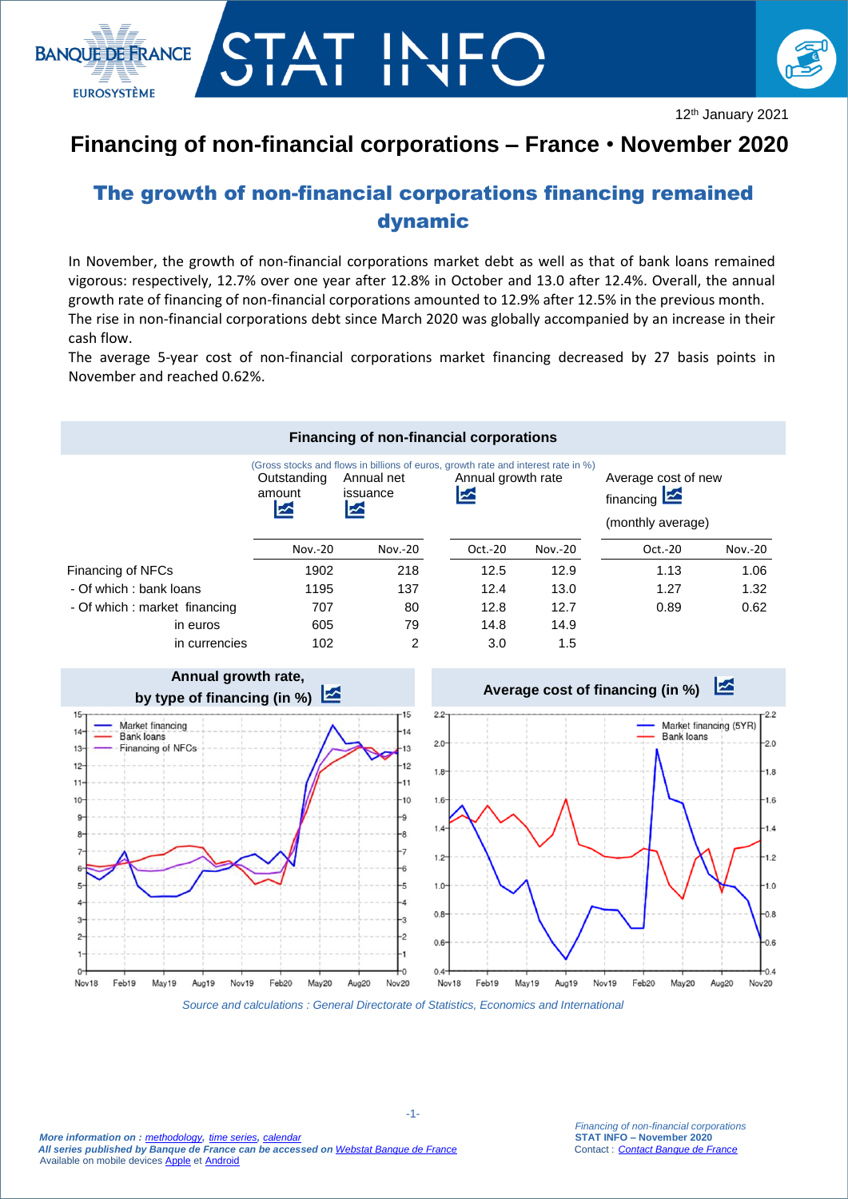



12th January 2021

## **Financing of non-financial corporations – France** • **November 2020**

## The growth of non-financial corporations financing remained dynamic

In November, the growth of non-financial corporations market debt as well as that of bank loans remained vigorous: respectively, 12.7% over one year after 12.8% in October and 13.0 after 12.4%. Overall, the annual growth rate of financing of non-financial corporations amounted to 12.9% after 12.5% in the previous month. The rise in non-financial corporations debt since March 2020 was globally accompanied by an increase in their cash flow.

The average 5-year cost of non-financial corporations market financing decreased by 27 basis points in November and reached 0.62%.





*Source and calculations : General Directorate of Statistics, Economics and International*